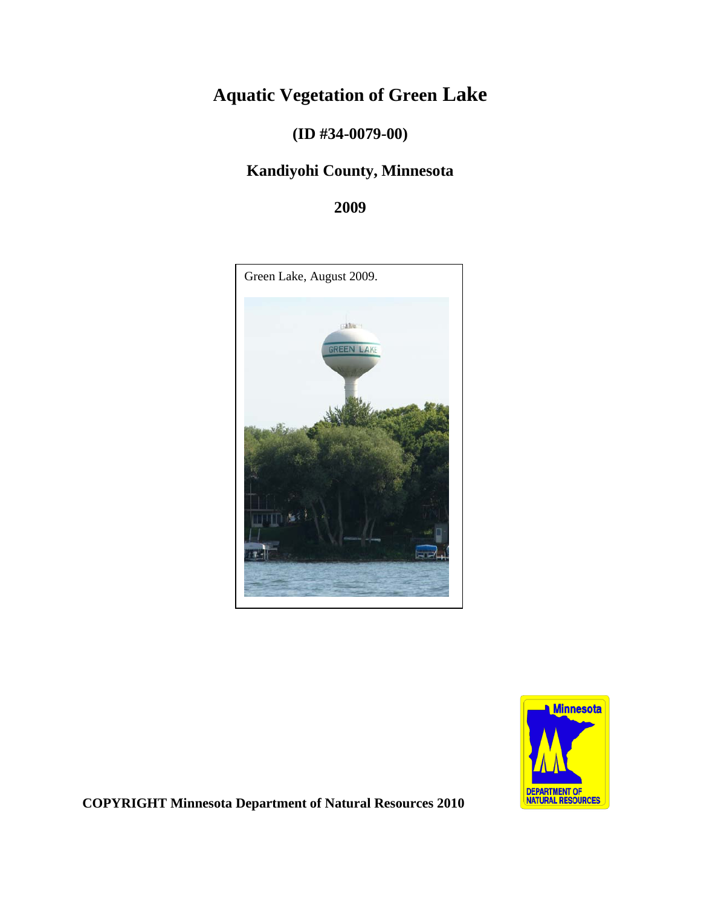# **Aquatic Vegetation of Green Lake**

**(ID #34-0079-00)** 

## **Kandiyohi County, Minnesota**

**2009**





**COPYRIGHT Minnesota Department of Natural Resources 2010**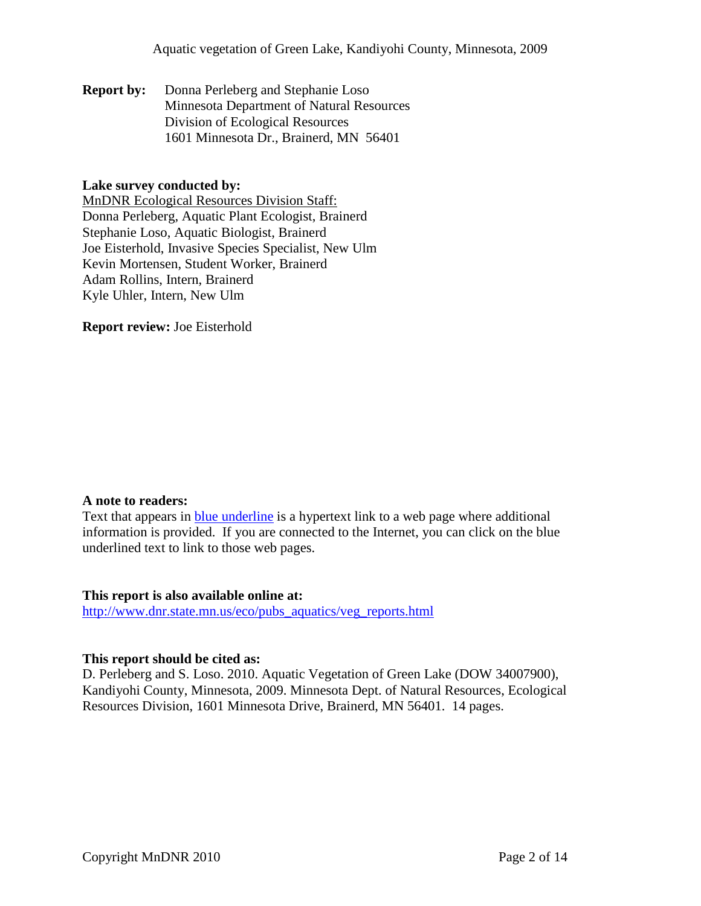**Report by:** Donna Perleberg and Stephanie Loso Minnesota Department of Natural Resources Division of Ecological Resources 1601 Minnesota Dr., Brainerd, MN 56401

#### **Lake survey conducted by:**

MnDNR Ecological Resources Division Staff: Donna Perleberg, Aquatic Plant Ecologist, Brainerd Stephanie Loso, Aquatic Biologist, Brainerd Joe Eisterhold, Invasive Species Specialist, New Ulm Kevin Mortensen, Student Worker, Brainerd Adam Rollins, Intern, Brainerd Kyle Uhler, Intern, New Ulm

**Report review:** Joe Eisterhold

#### **A note to readers:**

Text that appears in blue underline is a hypertext link to a web page where additional information is provided. If you are connected to the Internet, you can click on the blue underlined text to link to those web pages.

#### **This report is also available online at:**

[http://www.dnr.state.mn.us/eco/pubs\\_aquatics/veg\\_reports.html](http://www.dnr.state.mn.us/eco/pubs_aquatics/veg_reports.html)

#### **This report should be cited as:**

D. Perleberg and S. Loso. 2010. Aquatic Vegetation of Green Lake (DOW 34007900), Kandiyohi County, Minnesota, 2009. Minnesota Dept. of Natural Resources, Ecological Resources Division, 1601 Minnesota Drive, Brainerd, MN 56401. 14 pages.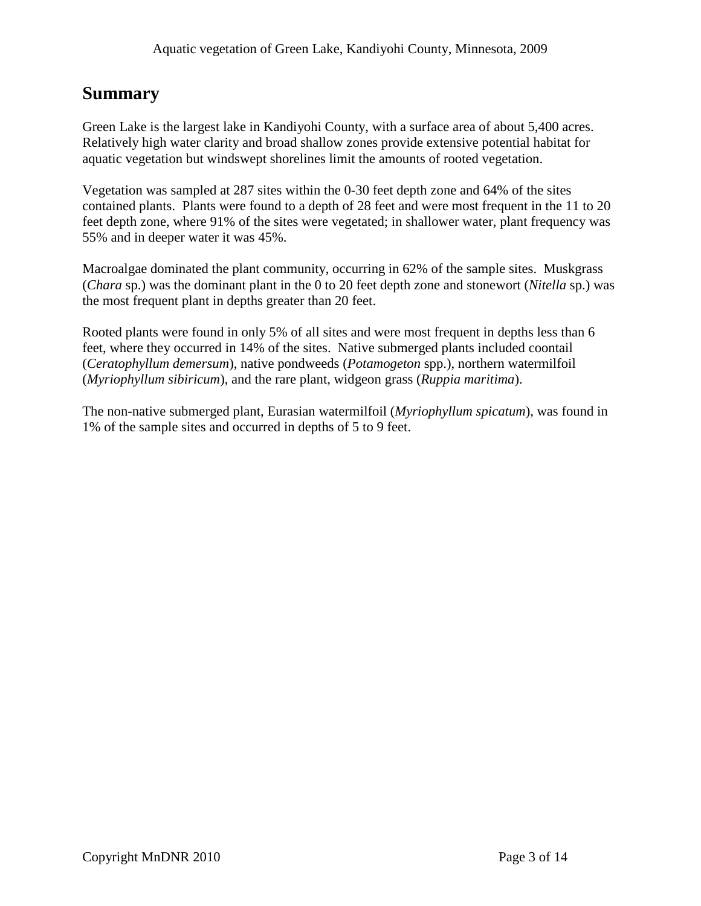## **Summary**

Green Lake is the largest lake in Kandiyohi County, with a surface area of about 5,400 acres. Relatively high water clarity and broad shallow zones provide extensive potential habitat for aquatic vegetation but windswept shorelines limit the amounts of rooted vegetation.

Vegetation was sampled at 287 sites within the 0-30 feet depth zone and 64% of the sites contained plants. Plants were found to a depth of 28 feet and were most frequent in the 11 to 20 feet depth zone, where 91% of the sites were vegetated; in shallower water, plant frequency was 55% and in deeper water it was 45%.

Macroalgae dominated the plant community, occurring in 62% of the sample sites. Muskgrass (*Chara* sp.) was the dominant plant in the 0 to 20 feet depth zone and stonewort (*Nitella* sp.) was the most frequent plant in depths greater than 20 feet.

Rooted plants were found in only 5% of all sites and were most frequent in depths less than 6 feet, where they occurred in 14% of the sites. Native submerged plants included coontail (*Ceratophyllum demersum*), native pondweeds (*Potamogeton* spp.), northern watermilfoil (*Myriophyllum sibiricum*), and the rare plant, widgeon grass (*Ruppia maritima*).

The non-native submerged plant, Eurasian watermilfoil (*Myriophyllum spicatum*), was found in 1% of the sample sites and occurred in depths of 5 to 9 feet.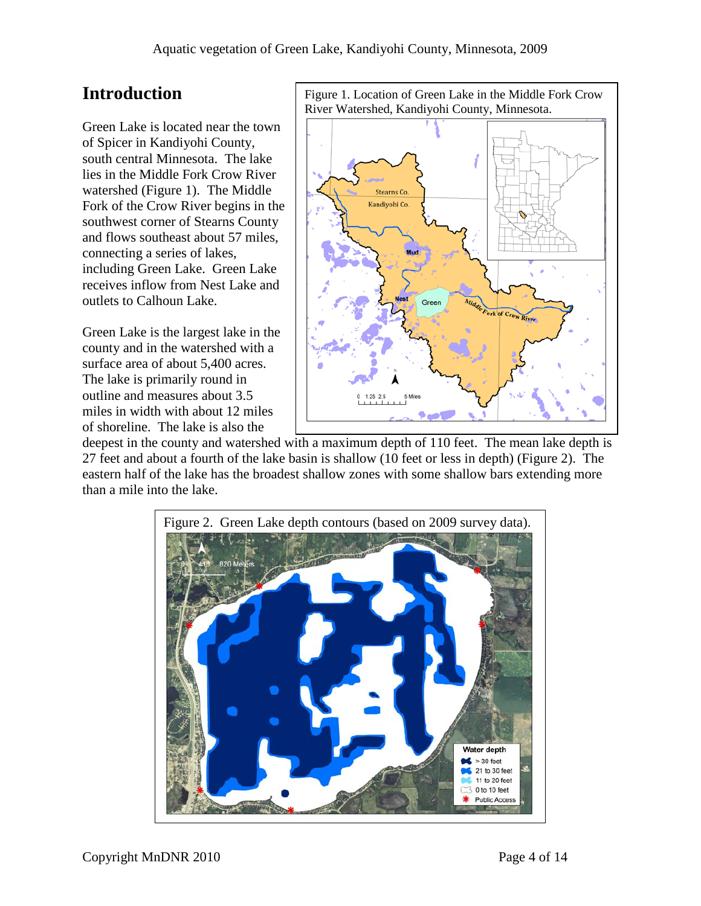## **Introduction**

Green Lake is located near the town of Spicer in Kandiyohi County, south central Minnesota. The lake lies in the Middle Fork Crow River watershed (Figure 1). The Middle Fork of the Crow River begins in the southwest corner of Stearns County and flows southeast about 57 miles, connecting a series of lakes, including Green Lake. Green Lake receives inflow from Nest Lake and outlets to Calhoun Lake.

Green Lake is the largest lake in the county and in the watershed with a surface area of about 5,400 acres. The lake is primarily round in outline and measures about 3.5 miles in width with about 12 miles of shoreline. The lake is also the

Figure 1. Location of Green Lake in the Middle Fork Crow River Watershed, Kandiyohi County, Minnesota. **Stearns Co** Kandiyohi Co. River

deepest in the county and watershed with a maximum depth of 110 feet. The mean lake depth is 27 feet and about a fourth of the lake basin is shallow (10 feet or less in depth) (Figure 2). The eastern half of the lake has the broadest shallow zones with some shallow bars extending more than a mile into the lake.

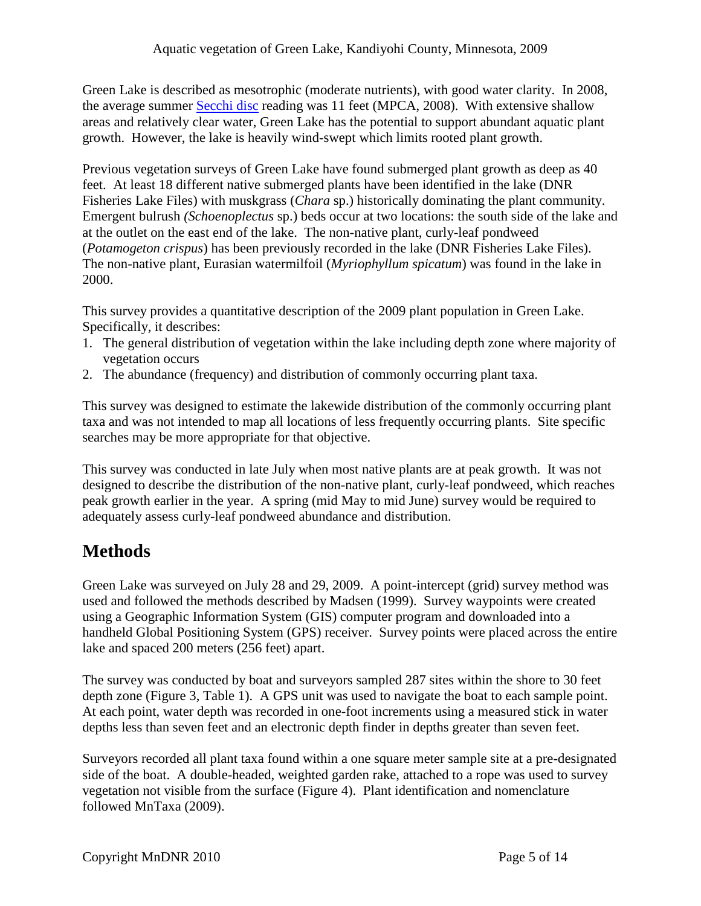Green Lake is described as mesotrophic (moderate nutrients), with good water clarity. In 2008, the average summer [Secchi disc](http://www.pca.state.mn.us/water/secchi-slideshow.html) reading was 11 feet (MPCA, 2008). With extensive shallow areas and relatively clear water, Green Lake has the potential to support abundant aquatic plant growth. However, the lake is heavily wind-swept which limits rooted plant growth.

Previous vegetation surveys of Green Lake have found submerged plant growth as deep as 40 feet. At least 18 different native submerged plants have been identified in the lake (DNR Fisheries Lake Files) with muskgrass (*Chara* sp.) historically dominating the plant community. Emergent bulrush *(Schoenoplectus* sp.) beds occur at two locations: the south side of the lake and at the outlet on the east end of the lake. The non-native plant, curly-leaf pondweed (*Potamogeton crispus*) has been previously recorded in the lake (DNR Fisheries Lake Files). The non-native plant, Eurasian watermilfoil (*Myriophyllum spicatum*) was found in the lake in 2000.

This survey provides a quantitative description of the 2009 plant population in Green Lake. Specifically, it describes:

- 1. The general distribution of vegetation within the lake including depth zone where majority of vegetation occurs
- 2. The abundance (frequency) and distribution of commonly occurring plant taxa.

This survey was designed to estimate the lakewide distribution of the commonly occurring plant taxa and was not intended to map all locations of less frequently occurring plants. Site specific searches may be more appropriate for that objective.

This survey was conducted in late July when most native plants are at peak growth. It was not designed to describe the distribution of the non-native plant, curly-leaf pondweed, which reaches peak growth earlier in the year. A spring (mid May to mid June) survey would be required to adequately assess curly-leaf pondweed abundance and distribution.

# **Methods**

Green Lake was surveyed on July 28 and 29, 2009. A point-intercept (grid) survey method was used and followed the methods described by Madsen (1999). Survey waypoints were created using a Geographic Information System (GIS) computer program and downloaded into a handheld Global Positioning System (GPS) receiver. Survey points were placed across the entire lake and spaced 200 meters (256 feet) apart.

The survey was conducted by boat and surveyors sampled 287 sites within the shore to 30 feet depth zone (Figure 3, Table 1). A GPS unit was used to navigate the boat to each sample point. At each point, water depth was recorded in one-foot increments using a measured stick in water depths less than seven feet and an electronic depth finder in depths greater than seven feet.

Surveyors recorded all plant taxa found within a one square meter sample site at a pre-designated side of the boat. A double-headed, weighted garden rake, attached to a rope was used to survey vegetation not visible from the surface (Figure 4). Plant identification and nomenclature followed MnTaxa (2009).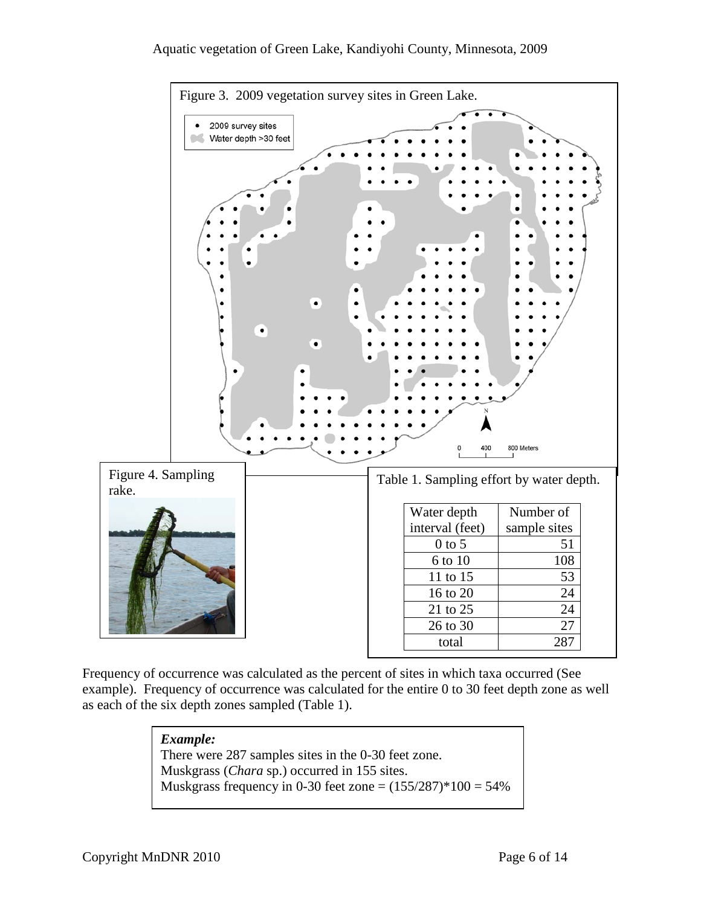#### Aquatic vegetation of Green Lake, Kandiyohi County, Minnesota, 2009



Frequency of occurrence was calculated as the percent of sites in which taxa occurred (See example). Frequency of occurrence was calculated for the entire 0 to 30 feet depth zone as well as each of the six depth zones sampled (Table 1).

#### *Example:*

There were 287 samples sites in the 0-30 feet zone. Muskgrass (*Chara* sp.) occurred in 155 sites. Muskgrass frequency in 0-30 feet zone =  $(155/287)$  \*  $100 = 54\%$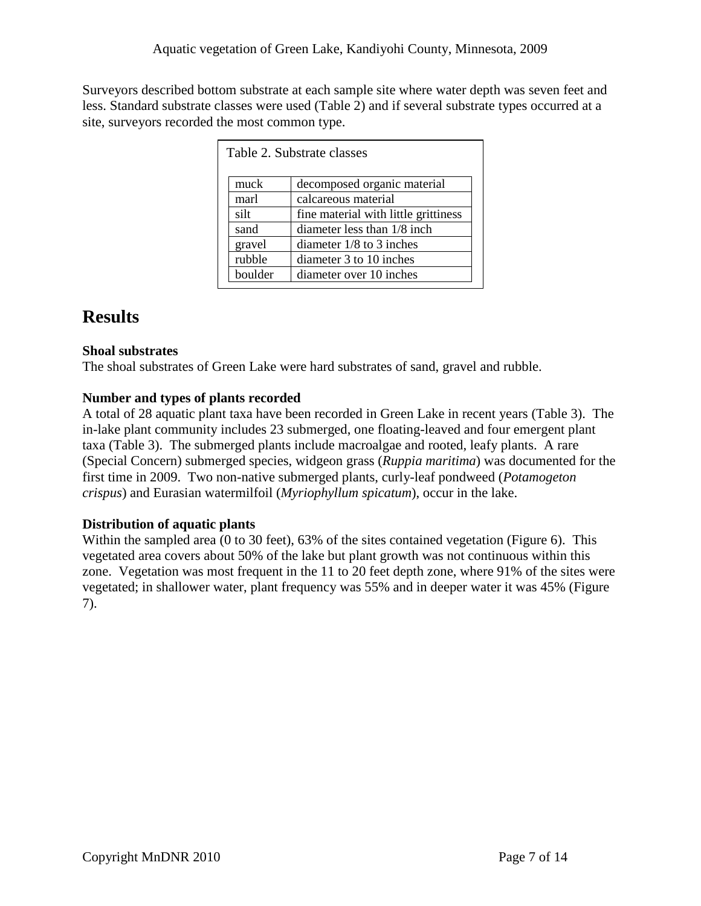Surveyors described bottom substrate at each sample site where water depth was seven feet and less. Standard substrate classes were used (Table 2) and if several substrate types occurred at a site, surveyors recorded the most common type.

| Table 2. Substrate classes |                                      |  |  |  |
|----------------------------|--------------------------------------|--|--|--|
| muck                       | decomposed organic material          |  |  |  |
| marl                       | calcareous material                  |  |  |  |
| silt                       | fine material with little grittiness |  |  |  |
| sand                       | diameter less than 1/8 inch          |  |  |  |
| gravel                     | diameter $1/8$ to 3 inches           |  |  |  |
| rubble                     | diameter 3 to 10 inches              |  |  |  |
| boulder                    | diameter over 10 inches              |  |  |  |

# **Results**

## **Shoal substrates**

The shoal substrates of Green Lake were hard substrates of sand, gravel and rubble.

## **Number and types of plants recorded**

A total of 28 aquatic plant taxa have been recorded in Green Lake in recent years (Table 3). The in-lake plant community includes 23 submerged, one floating-leaved and four emergent plant taxa (Table 3). The submerged plants include macroalgae and rooted, leafy plants. A rare (Special Concern) submerged species, widgeon grass (*Ruppia maritima*) was documented for the first time in 2009. Two non-native submerged plants, curly-leaf pondweed (*Potamogeton crispus*) and Eurasian watermilfoil (*Myriophyllum spicatum*), occur in the lake.

## **Distribution of aquatic plants**

Within the sampled area (0 to 30 feet), 63% of the sites contained vegetation (Figure 6). This vegetated area covers about 50% of the lake but plant growth was not continuous within this zone. Vegetation was most frequent in the 11 to 20 feet depth zone, where 91% of the sites were vegetated; in shallower water, plant frequency was 55% and in deeper water it was 45% (Figure 7).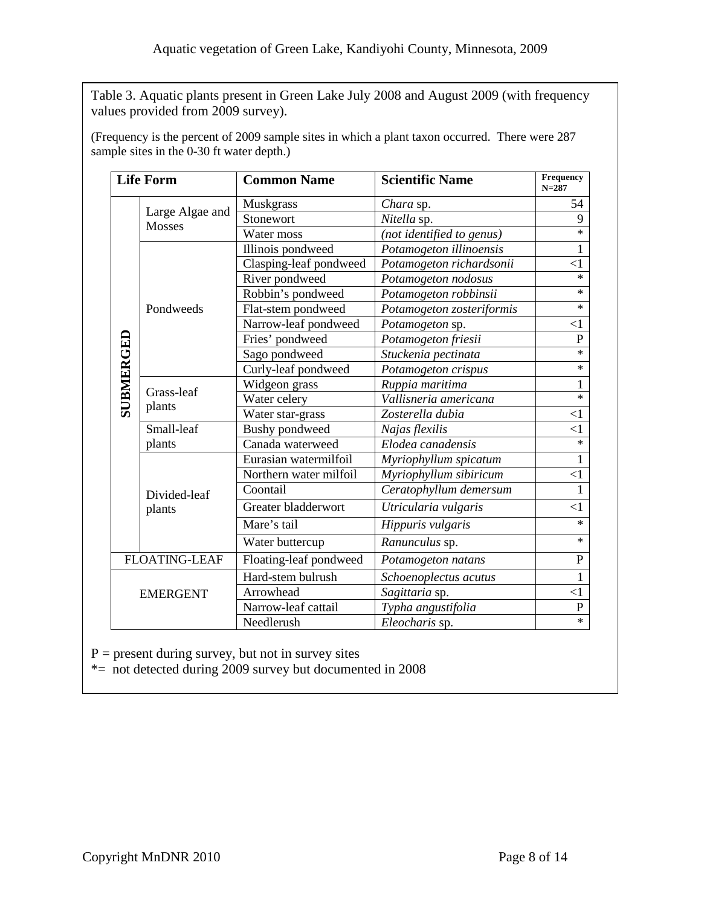Table 3. Aquatic plants present in Green Lake July 2008 and August 2009 (with frequency values provided from 2009 survey).

(Frequency is the percent of 2009 sample sites in which a plant taxon occurred. There were 287 sample sites in the 0-30 ft water depth.)

|                      | <b>Life Form</b>                 | <b>Common Name</b>     | <b>Scientific Name</b>    | Frequency<br>$N = 287$ |
|----------------------|----------------------------------|------------------------|---------------------------|------------------------|
|                      |                                  | Muskgrass              | Chara sp.                 | 54                     |
| SUBMERGED            | Large Algae and<br><b>Mosses</b> | Stonewort              | Nitella sp.               | 9                      |
|                      |                                  | Water moss             | (not identified to genus) | $\ast$                 |
|                      | Pondweeds                        | Illinois pondweed      | Potamogeton illinoensis   | 1                      |
|                      |                                  | Clasping-leaf pondweed | Potamogeton richardsonii  | $\leq$ 1               |
|                      |                                  | River pondweed         | Potamogeton nodosus       | $\ast$                 |
|                      |                                  | Robbin's pondweed      | Potamogeton robbinsii     | $\ast$                 |
|                      |                                  | Flat-stem pondweed     | Potamogeton zosteriformis | $\ast$                 |
|                      |                                  | Narrow-leaf pondweed   | Potamogeton sp.           | $\leq$ 1               |
|                      |                                  | Fries' pondweed        | Potamogeton friesii       | $\mathbf P$            |
|                      |                                  | Sago pondweed          | Stuckenia pectinata       | $\ast$                 |
|                      |                                  | Curly-leaf pondweed    | Potamogeton crispus       | $\ast$                 |
|                      | Grass-leaf<br>plants             | Widgeon grass          | Ruppia maritima           | 1                      |
|                      |                                  | Water celery           | Vallisneria americana     | $\ast$                 |
|                      |                                  | Water star-grass       | Zosterella dubia          | $\leq$ 1               |
|                      | Small-leaf                       | <b>Bushy</b> pondweed  | Najas flexilis            | $\leq$ 1               |
|                      | plants                           | Canada waterweed       | Elodea canadensis         | $\ast$                 |
|                      | Divided-leaf<br>plants           | Eurasian watermilfoil  | Myriophyllum spicatum     | 1                      |
|                      |                                  | Northern water milfoil | Myriophyllum sibiricum    | $\leq$ 1               |
|                      |                                  | Coontail               | Ceratophyllum demersum    | 1                      |
|                      |                                  | Greater bladderwort    | Utricularia vulgaris      | $\leq$ 1               |
|                      |                                  | Mare's tail            | Hippuris vulgaris         | $\ast$                 |
|                      |                                  | Water buttercup        | Ranunculus sp.            | $\ast$                 |
| <b>FLOATING-LEAF</b> |                                  | Floating-leaf pondweed | Potamogeton natans        | $\mathbf{P}$           |
| <b>EMERGENT</b>      |                                  | Hard-stem bulrush      | Schoenoplectus acutus     | 1                      |
|                      |                                  | Arrowhead              | Sagittaria sp.            | $\leq$ 1               |
|                      |                                  | Narrow-leaf cattail    | Typha angustifolia        | $\mathbf{P}$           |
|                      |                                  | Needlerush             | Eleocharis sp.            | $\ast$                 |

 $P =$  present during survey, but not in survey sites

\*= not detected during 2009 survey but documented in 2008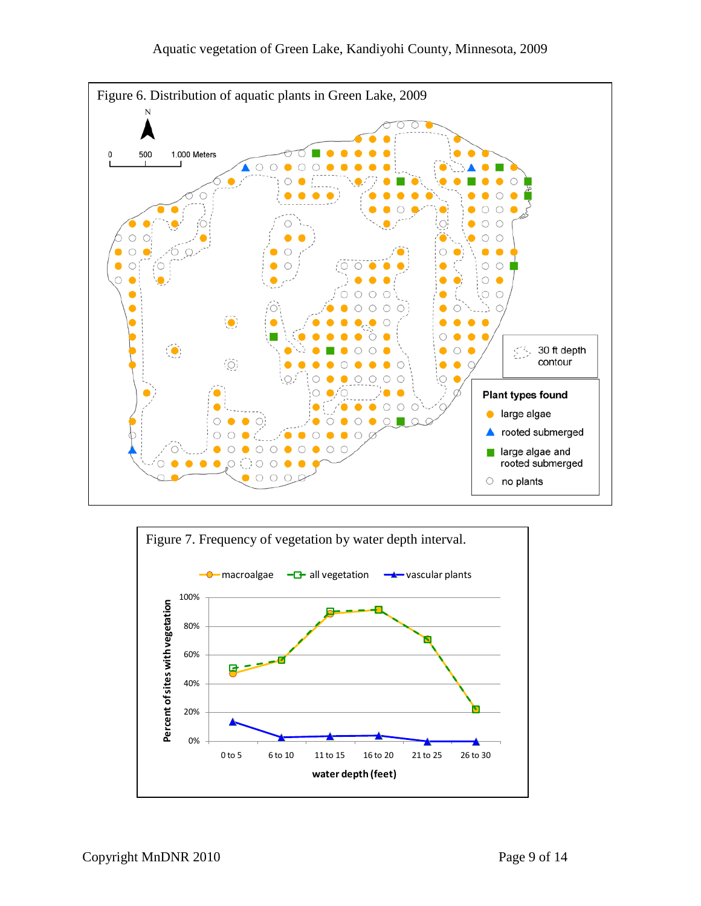

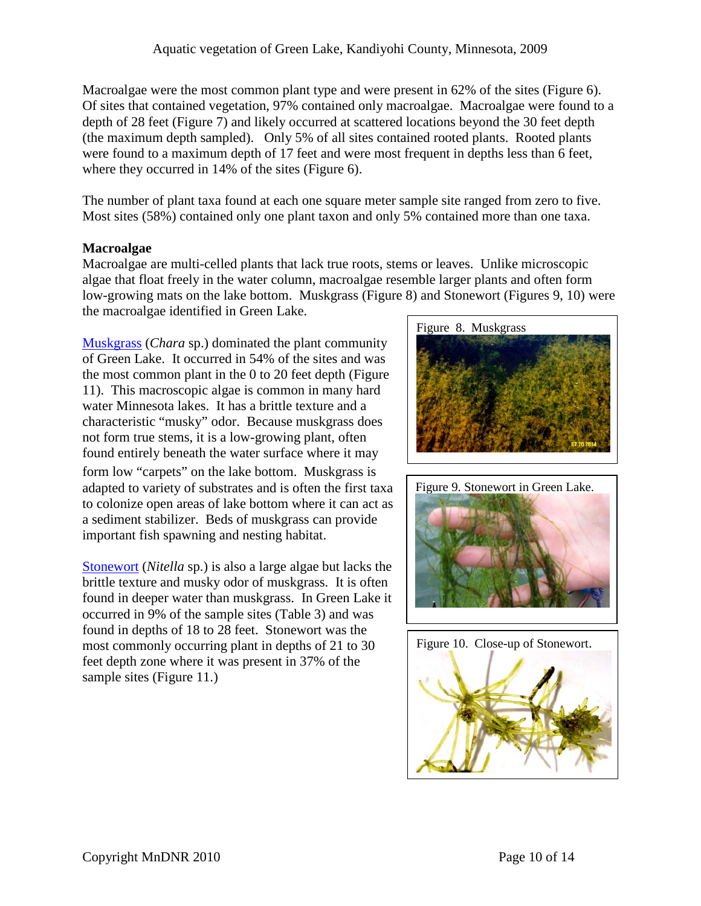Macroalgae were the most common plant type and were present in 62% of the sites (Figure 6). Of sites that contained vegetation, 97% contained only macroalgae. Macroalgae were found to a depth of 28 feet (Figure 7) and likely occurred at scattered locations beyond the 30 feet depth (the maximum depth sampled). Only 5% of all sites contained rooted plants. Rooted plants were found to a maximum depth of 17 feet and were most frequent in depths less than 6 feet, where they occurred in 14% of the sites (Figure 6).

The number of plant taxa found at each one square meter sample site ranged from zero to five. Most sites (58%) contained only one plant taxon and only 5% contained more than one taxa.

### **Macroalgae**

Macroalgae are multi-celled plants that lack true roots, stems or leaves. Unlike microscopic algae that float freely in the water column, macroalgae resemble larger plants and often form low-growing mats on the lake bottom. Muskgrass (Figure 8) and Stonewort (Figures 9, 10) were the macroalgae identified in Green Lake.

[Muskgrass](http://www.dnr.state.mn.us/aquatic_plants/algae/chara.html) (*Chara* sp.) dominated the plant community of Green Lake. It occurred in 54% of the sites and was the most common plant in the 0 to 20 feet depth (Figure 11). This macroscopic algae is common in many hard water Minnesota lakes. It has a brittle texture and a characteristic "musky" odor. Because muskgrass does not form true stems, it is a low-growing plant, often found entirely beneath the water surface where it may form low "carpets" on the lake bottom. Muskgrass is adapted to variety of substrates and is often the first taxa to colonize open areas of lake bottom where it can act as a sediment stabilizer. Beds of muskgrass can provide important fish spawning and nesting habitat.

[Stonewort](http://www.dnr.state.mn.us/aquatic_plants/algae/stonewort.html) (*Nitella* sp.) is also a large algae but lacks the brittle texture and musky odor of muskgrass. It is often found in deeper water than muskgrass. In Green Lake it occurred in 9% of the sample sites (Table 3) and was found in depths of 18 to 28 feet. Stonewort was the most commonly occurring plant in depths of 21 to 30 feet depth zone where it was present in 37% of the sample sites (Figure 11.)





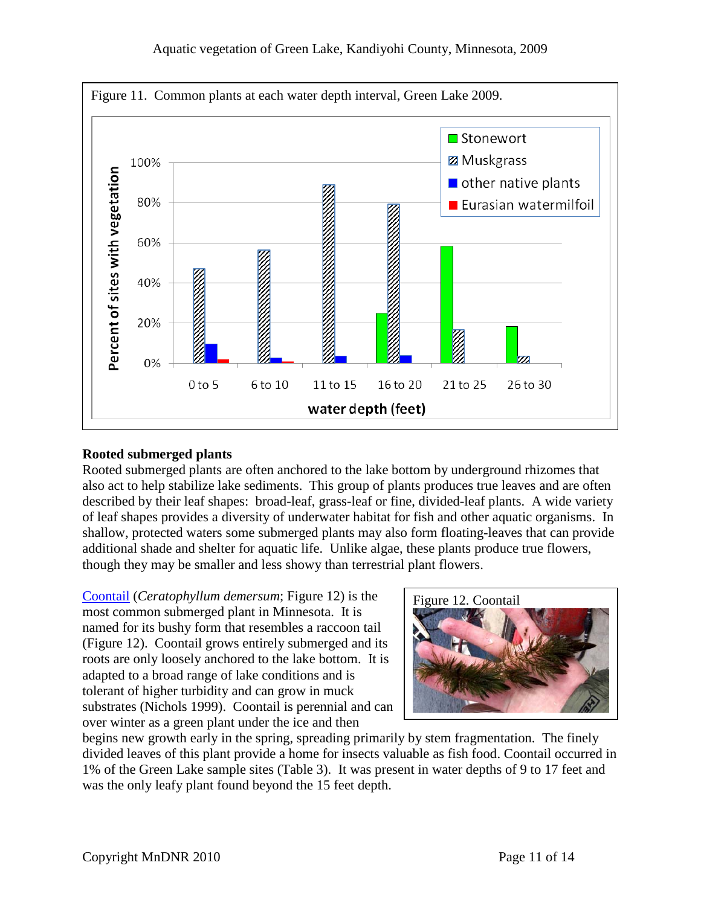

#### **Rooted submerged plants**

Rooted submerged plants are often anchored to the lake bottom by underground rhizomes that also act to help stabilize lake sediments. This group of plants produces true leaves and are often described by their leaf shapes: broad-leaf, grass-leaf or fine, divided-leaf plants. A wide variety of leaf shapes provides a diversity of underwater habitat for fish and other aquatic organisms. In shallow, protected waters some submerged plants may also form floating-leaves that can provide additional shade and shelter for aquatic life. Unlike algae, these plants produce true flowers, though they may be smaller and less showy than terrestrial plant flowers.

[Coontail](http://www.dnr.state.mn.us/aquatic_plants/submerged_plants/coontail.html) (*Ceratophyllum demersum*; Figure 12) is the most common submerged plant in Minnesota. It is named for its bushy form that resembles a raccoon tail (Figure 12). Coontail grows entirely submerged and its roots are only loosely anchored to the lake bottom. It is adapted to a broad range of lake conditions and is tolerant of higher turbidity and can grow in muck substrates (Nichols 1999). Coontail is perennial and can over winter as a green plant under the ice and then



begins new growth early in the spring, spreading primarily by stem fragmentation. The finely divided leaves of this plant provide a home for insects valuable as fish food. Coontail occurred in 1% of the Green Lake sample sites (Table 3). It was present in water depths of 9 to 17 feet and was the only leafy plant found beyond the 15 feet depth.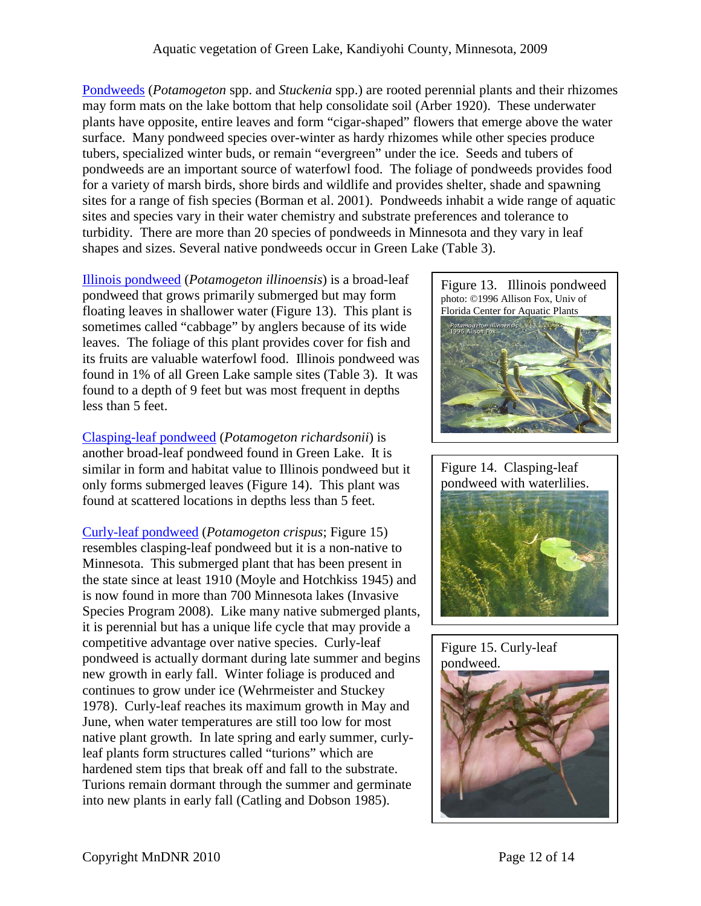[Pondweeds](http://www.dnr.state.mn.us/aquatic_plants/submerged_plants/broadleaf_pondweeds.html) (*Potamogeton* spp. and *Stuckenia* spp.) are rooted perennial plants and their rhizomes may form mats on the lake bottom that help consolidate soil (Arber 1920). These underwater plants have opposite, entire leaves and form "cigar-shaped" flowers that emerge above the water surface. Many pondweed species over-winter as hardy rhizomes while other species produce tubers, specialized winter buds, or remain "evergreen" under the ice. Seeds and tubers of pondweeds are an important source of waterfowl food. The foliage of pondweeds provides food for a variety of marsh birds, shore birds and wildlife and provides shelter, shade and spawning sites for a range of fish species (Borman et al. 2001). Pondweeds inhabit a wide range of aquatic sites and species vary in their water chemistry and substrate preferences and tolerance to turbidity. There are more than 20 species of pondweeds in Minnesota and they vary in leaf shapes and sizes. Several native pondweeds occur in Green Lake (Table 3).

[Illinois pondweed](http://www.dnr.state.mn.us/aquatic_plants/submerged_plants/broadleaf_pondweeds.html) (*Potamogeton illinoensis*) is a broad-leaf pondweed that grows primarily submerged but may form floating leaves in shallower water (Figure 13). This plant is sometimes called "cabbage" by anglers because of its wide leaves. The foliage of this plant provides cover for fish and its fruits are valuable waterfowl food. Illinois pondweed was found in 1% of all Green Lake sample sites (Table 3). It was found to a depth of 9 feet but was most frequent in depths less than 5 feet.

[Clasping-leaf pondweed](http://www.dnr.state.mn.us/aquatic_plants/submerged_plants/broadleaf_pondweeds.html) (*Potamogeton richardsonii*) is another broad-leaf pondweed found in Green Lake. It is similar in form and habitat value to Illinois pondweed but it only forms submerged leaves (Figure 14). This plant was found at scattered locations in depths less than 5 feet.

[Curly-leaf pondweed](http://www.dnr.state.mn.us/aquatic_plants/submerged_plants/curlyleaf_pondweed.html) (*Potamogeton crispus*; Figure 15) resembles clasping-leaf pondweed but it is a non-native to Minnesota. This submerged plant that has been present in the state since at least 1910 (Moyle and Hotchkiss 1945) and is now found in more than 700 Minnesota lakes (Invasive Species Program 2008). Like many native submerged plants, it is perennial but has a unique life cycle that may provide a competitive advantage over native species. Curly-leaf pondweed is actually dormant during late summer and begins new growth in early fall. Winter foliage is produced and continues to grow under ice (Wehrmeister and Stuckey 1978). Curly-leaf reaches its maximum growth in May and June, when water temperatures are still too low for most native plant growth. In late spring and early summer, curlyleaf plants form structures called "turions" which are hardened stem tips that break off and fall to the substrate. Turions remain dormant through the summer and germinate into new plants in early fall (Catling and Dobson 1985).







## Figure 15. Curly-leaf pondweed.

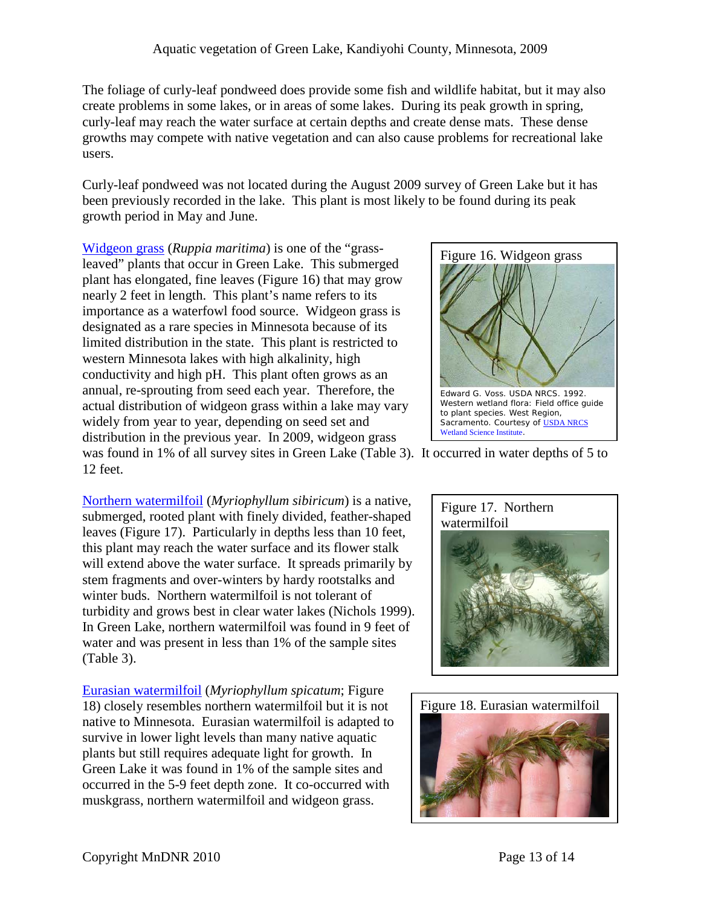The foliage of curly-leaf pondweed does provide some fish and wildlife habitat, but it may also create problems in some lakes, or in areas of some lakes. During its peak growth in spring, curly-leaf may reach the water surface at certain depths and create dense mats. These dense growths may compete with native vegetation and can also cause problems for recreational lake users.

Curly-leaf pondweed was not located during the August 2009 survey of Green Lake but it has been previously recorded in the lake. This plant is most likely to be found during its peak growth period in May and June.

[Widgeon grass](http://www.dnr.state.mn.us/rsg/profile.html?action=elementDetail&selectedElement=PMRUP01020) (*Ruppia maritima*) is one of the "grassleaved" plants that occur in Green Lake. This submerged plant has elongated, fine leaves (Figure 16) that may grow nearly 2 feet in length. This plant's name refers to its importance as a waterfowl food source. Widgeon grass is designated as a rare species in Minnesota because of its limited distribution in the state. This plant is restricted to western Minnesota lakes with high alkalinity, high conductivity and high pH. This plant often grows as an annual, re-sprouting from seed each year. Therefore, the actual distribution of widgeon grass within a lake may vary widely from year to year, depending on seed set and distribution in the previous year. In 2009, widgeon grass



was found in 1% of all survey sites in Green Lake (Table 3). It occurred in water depths of 5 to 12 feet.

[Northern watermilfoil](http://www.dnr.state.mn.us/aquatic_plants/submerged_plants/northern_watermilfoil.html) (*Myriophyllum sibiricum*) is a native, submerged, rooted plant with finely divided, feather-shaped leaves (Figure 17). Particularly in depths less than 10 feet, this plant may reach the water surface and its flower stalk will extend above the water surface. It spreads primarily by stem fragments and over-winters by hardy rootstalks and winter buds. Northern watermilfoil is not tolerant of turbidity and grows best in clear water lakes (Nichols 1999). In Green Lake, northern watermilfoil was found in 9 feet of water and was present in less than 1% of the sample sites (Table 3).

[Eurasian watermilfoil](http://www.dnr.state.mn.us/invasives/aquaticplants/milfoil/index.html) (*Myriophyllum spicatum*; Figure 18) closely resembles northern watermilfoil but it is not native to Minnesota. Eurasian watermilfoil is adapted to survive in lower light levels than many native aquatic plants but still requires adequate light for growth. In Green Lake it was found in 1% of the sample sites and occurred in the 5-9 feet depth zone. It co-occurred with muskgrass, northern watermilfoil and widgeon grass.